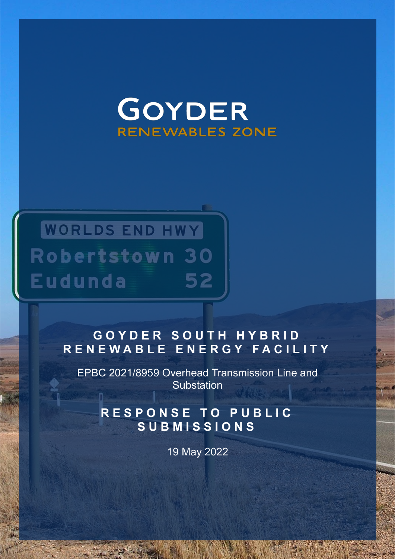# GOYDER **RENEWABLES ZONE**

## **WORLDS END HWY Robertstown 30 Eudunda** 52

### GOYDER SOUTH HYBRID **RENEWABLE ENERGY FACILITY**

EPBC 2021/8959 Overhead Transmission Line and Substation

**RESPONSE TO PUBLIC SUBMISSIONS** 

19 May 2022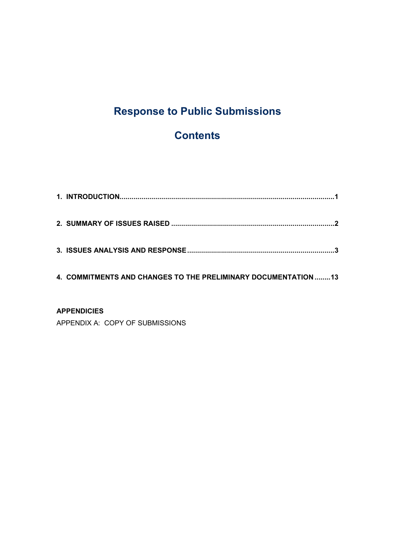### **Response to Public Submissions**

#### **Contents**

| 4. COMMITMENTS AND CHANGES TO THE PRELIMINARY DOCUMENTATION 13 |  |
|----------------------------------------------------------------|--|
| <b>ADDENDIAIEC</b>                                             |  |

**APPENDICIES** APPENDIX A: COPY OF SUBMISSIONS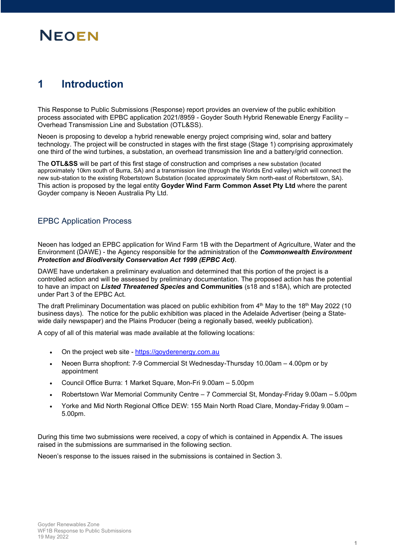#### **1 Introduction**

This Response to Public Submissions (Response) report provides an overview of the public exhibition process associated with EPBC application 2021/8959 - Goyder South Hybrid Renewable Energy Facility -Overhead Transmission Line and Substation (OTL&SS).

Neoen is proposing to develop a hybrid renewable energy project comprising wind, solar and battery technology. The project will be constructed in stages with the first stage (Stage 1) comprising approximately one third of the wind turbines, a substation, an overhead transmission line and a battery/grid connection.

The **OTL&SS** will be part of this first stage of construction and comprises a new substation (located approximately 10km south of Burra, SA) and a transmission line (through the Worlds End valley) which will connect the new sub-station to the existing Robertstown Substation (located approximately 5km north-east of Robertstown, SA). This action is proposed by the legal entity **Goyder Wind Farm Common Asset Pty Ltd** where the parent Goyder company is Neoen Australia Pty Ltd.

#### EPBC Application Process

Neoen has lodged an EPBC application for Wind Farm 1B with the Department of Agriculture, Water and the Environment (DAWE) - the Agency responsible for the administration of the *Commonwealth Environment Protection and Biodiversity Conservation Act 1999 (EPBC Act)*.

DAWE have undertaken a preliminary evaluation and determined that this portion of the project is a controlled action and will be assessed by preliminary documentation. The proposed action has the potential to have an impact on *Listed Threatened Species* **and Communities** (s18 and s18A), which are protected under Part 3 of the EPBC Act.

The draft Preliminary Documentation was placed on public exhibition from  $4<sup>th</sup>$  May to the 18<sup>th</sup> May 2022 (10 business days). The notice for the public exhibition was placed in the Adelaide Advertiser (being a Statewide daily newspaper) and the Plains Producer (being a regionally based, weekly publication).

A copy of all of this material was made available at the following locations:

- On the project web site https://goyderenergy.com.au
- Neoen Burra shopfront: 7-9 Commercial St Wednesday-Thursday 10.00am 4.00pm or by appointment
- Council Office Burra: 1 Market Square, Mon-Fri 9.00am 5.00pm
- Robertstown War Memorial Community Centre 7 Commercial St, Monday-Friday 9.00am 5.00pm
- $\cdot$  Yorke and Mid North Regional Office DEW: 155 Main North Road Clare, Monday-Friday 9.00am  $-$ 5.00pm.

During this time two submissions were received, a copy of which is contained in Appendix A. The issues raised in the submissions are summarised in the following section.

Neoen's response to the issues raised in the submissions is contained in Section 3.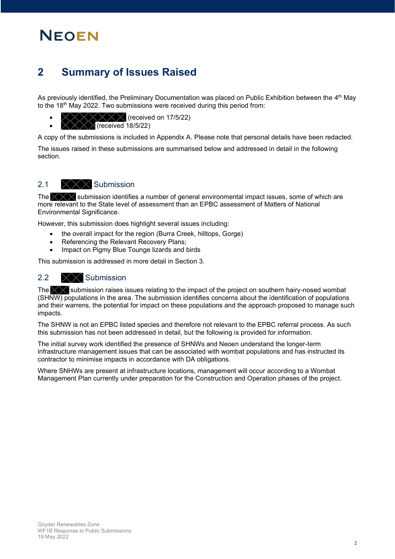#### **2 Summary of Issues Raised**

As previously identified, the Preliminary Documentation was placed on Public Exhibition between the 4<sup>th</sup> May to the 18<sup>th</sup> May 2022. Two submissions were received during this period from:

- $\times$  (received on 17/5/22)
- x (received 18/5/22)

A copy of the submissions is included in Appendix A. Please note that personal details have been redacted.

The issues raised in these submissions are summarised below and addressed in detail in the following section.

#### 2.1  $\times\times\times$  Submission

The  $\chi \times \chi$  submission identifies a number of general environmental impact issues, some of which are more relevant to the State level of assessment than an EPBC assessment of Matters of National Environmental Significance.

However, this submission does highlight several issues including:

- the overall impact for the region (Burra Creek, hilltops, Gorge)
- Referencing the Relevant Recovery Plans;
- Impact on Pigmy Blue Tounge lizards and birds

This submission is addressed in more detail in Section 3.

#### 2.2 XX Submission

The  $\times$  submission raises issues relating to the impact of the project on southern hairy-nosed wombat (SHNW) populations in the area. The submission identifies concerns about the identification of populations and their warrens, the potential for impact on these populations and the approach proposed to manage such impacts.

The SHNW is not an EPBC listed species and therefore not relevant to the EPBC referral process. As such this submission has not been addressed in detail, but the following is provided for information.

The initial survey work identified the presence of SHNWs and Neoen understand the longer-term infrastructure management issues that can be associated with wombat populations and has instructed its contractor to minimise impacts in accordance with DA obligations.

Where SNHWs are present at infrastructure locations, management will occur according to a Wombat Management Plan currently under preparation for the Construction and Operation phases of the project.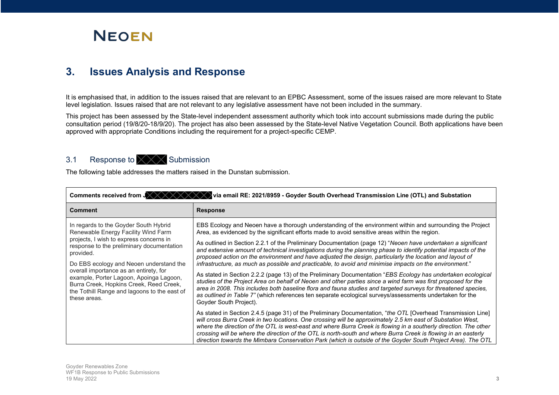

#### **3. Issues Analysis and Response**

It is emphasised that, in addition to the issues raised that are relevant to an EPBC Assessment, some of the issues raised are more relevant to State level legislation. Issues raised that are not relevant to any legislative assessment have not been included in the summary.

This project has been assessed by the State-level independent assessment authority which took into account submissions made during the public consultation period (19/8/20-18/9/20). The project has also been assessed by the State-level Native Vegetation Council. Both applications have been approved with appropriate Conditions including the requirement for a project-specific CEMP.

#### 3.1 Response to  $\times \times \times$  Submission

The following table addresses the matters raised in the Dunstan submission.

| Comments received from $J \times X$<br>Ivia email RE: 2021/8959 - Goyder South Overhead Transmission Line (OTL) and Substation                                                               |                                                                                                                                                                                                                                                                                                                                                                                                                                                                                                                                                                                   |  |
|----------------------------------------------------------------------------------------------------------------------------------------------------------------------------------------------|-----------------------------------------------------------------------------------------------------------------------------------------------------------------------------------------------------------------------------------------------------------------------------------------------------------------------------------------------------------------------------------------------------------------------------------------------------------------------------------------------------------------------------------------------------------------------------------|--|
| <b>Comment</b>                                                                                                                                                                               | <b>Response</b>                                                                                                                                                                                                                                                                                                                                                                                                                                                                                                                                                                   |  |
| In regards to the Goyder South Hybrid<br>Renewable Energy Facility Wind Farm                                                                                                                 | EBS Ecology and Neoen have a thorough understanding of the environment within and surrounding the Project<br>Area, as evidenced by the significant efforts made to avoid sensitive areas within the region.                                                                                                                                                                                                                                                                                                                                                                       |  |
| projects, I wish to express concerns in<br>response to the preliminary documentation<br>provided.                                                                                            | As outlined in Section 2.2.1 of the Preliminary Documentation (page 12) "Neoen have undertaken a significant<br>and extensive amount of technical investigations during the planning phase to identify potential impacts of the<br>proposed action on the environment and have adjusted the design, particularly the location and layout of                                                                                                                                                                                                                                       |  |
| Do EBS ecology and Neoen understand the                                                                                                                                                      | infrastructure, as much as possible and practicable, to avoid and minimise impacts on the environment."                                                                                                                                                                                                                                                                                                                                                                                                                                                                           |  |
| overall importance as an entirety, for<br>example, Porter Lagoon, Apoinga Lagoon,<br>Burra Creek, Hopkins Creek, Reed Creek,<br>the Tothill Range and lagoons to the east of<br>these areas. | As stated in Section 2.2.2 (page 13) of the Preliminary Documentation "EBS Ecology has undertaken ecological<br>studies of the Project Area on behalf of Neoen and other parties since a wind farm was first proposed for the<br>area in 2008. This includes both baseline flora and fauna studies and targeted surveys for threatened species,<br>as outlined in Table 7" (which references ten separate ecological surveys/assessments undertaken for the<br>Goyder South Project).                                                                                             |  |
|                                                                                                                                                                                              | As stated in Section 2.4.5 (page 31) of the Preliminary Documentation, "the OTL [Overhead Transmission Line]<br>will cross Burra Creek in two locations. One crossing will be approximately 2.5 km east of Substation West,<br>where the direction of the OTL is west-east and where Burra Creek is flowing in a southerly direction. The other<br>crossing will be where the direction of the OTL is north-south and where Burra Creek is flowing in an easterly<br>direction towards the Mimbara Conservation Park (which is outside of the Goyder South Project Area). The OTL |  |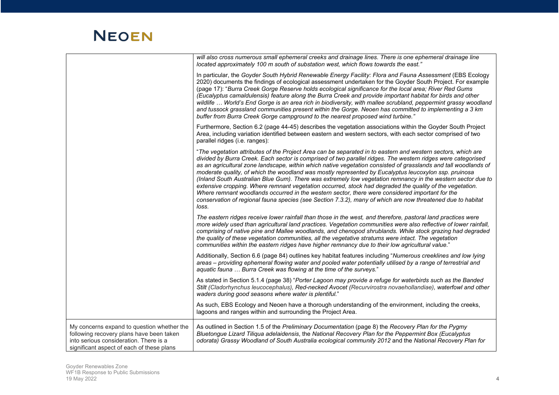|                                                                                                                                                                               | will also cross numerous small ephemeral creeks and drainage lines. There is one ephemeral drainage line<br>located approximately 100 m south of substation west, which flows towards the east."                                                                                                                                                                                                                                                                                                                                                                                                                                                                                                                                                                                                                                                                                                                |
|-------------------------------------------------------------------------------------------------------------------------------------------------------------------------------|-----------------------------------------------------------------------------------------------------------------------------------------------------------------------------------------------------------------------------------------------------------------------------------------------------------------------------------------------------------------------------------------------------------------------------------------------------------------------------------------------------------------------------------------------------------------------------------------------------------------------------------------------------------------------------------------------------------------------------------------------------------------------------------------------------------------------------------------------------------------------------------------------------------------|
|                                                                                                                                                                               | In particular, the Goyder South Hybrid Renewable Energy Facility: Flora and Fauna Assessment (EBS Ecology<br>2020) documents the findings of ecological assessment undertaken for the Goyder South Project. For example<br>(page 17): "Burra Creek Gorge Reserve holds ecological significance for the local area; River Red Gums<br>(Eucalyptus camaldulensis) feature along the Burra Creek and provide important habitat for birds and other<br>wildlife  World's End Gorge is an area rich in biodiversity, with mallee scrubland, peppermint grassy woodland<br>and tussock grassland communities present within the Gorge. Neoen has committed to implementing a 3 km<br>buffer from Burra Creek Gorge campground to the nearest proposed wind turbine."                                                                                                                                                  |
|                                                                                                                                                                               | Furthermore, Section 6.2 (page 44-45) describes the vegetation associations within the Goyder South Project<br>Area, including variation identified between eastern and western sectors, with each sector comprised of two<br>parallel ridges (i.e. ranges):                                                                                                                                                                                                                                                                                                                                                                                                                                                                                                                                                                                                                                                    |
|                                                                                                                                                                               | "The vegetation attributes of the Project Area can be separated in to eastern and western sectors, which are<br>divided by Burra Creek. Each sector is comprised of two parallel ridges. The western ridges were categorised<br>as an agricultural zone landscape, within which native vegetation consisted of grasslands and tall woodlands of<br>moderate quality, of which the woodland was mostly represented by Eucalyptus leucoxylon ssp. pruinosa<br>(Inland South Australian Blue Gum). There was extremely low vegetation remnancy in the western sector due to<br>extensive cropping. Where remnant vegetation occurred, stock had degraded the quality of the vegetation.<br>Where remnant woodlands occurred in the western sector, there were considered important for the<br>conservation of regional fauna species (see Section 7.3.2), many of which are now threatened due to habitat<br>loss. |
|                                                                                                                                                                               | The eastern ridges receive lower rainfall than those in the west, and therefore, pastoral land practices were<br>more widely used than agricultural land practices. Vegetation communities were also reflective of lower rainfall,<br>comprising of native pine and Mallee woodlands, and chenopod shrublands. While stock grazing had degraded<br>the quality of these vegetation communities, all the vegetative stratums were intact. The vegetation<br>communities within the eastern ridges have higher remnancy due to their low agricultural value."                                                                                                                                                                                                                                                                                                                                                     |
|                                                                                                                                                                               | Additionally, Section 6.6 (page 84) outlines key habitat features including "Numerous creeklines and low lying<br>areas - providing ephemeral flowing water and pooled water potentially utilised by a range of terrestrial and<br>aquatic fauna  Burra Creek was flowing at the time of the surveys."                                                                                                                                                                                                                                                                                                                                                                                                                                                                                                                                                                                                          |
|                                                                                                                                                                               | As stated in Section 5.1.4 (page 38) "Porter Lagoon may provide a refuge for waterbirds such as the Banded<br>Stilt (Cladorhynchus leucocephalus), Red-necked Avocet (Recurvirostra novaehollandiae), waterfowl and other<br>waders during good seasons where water is plentiful."                                                                                                                                                                                                                                                                                                                                                                                                                                                                                                                                                                                                                              |
|                                                                                                                                                                               | As such, EBS Ecology and Neoen have a thorough understanding of the environment, including the creeks,<br>lagoons and ranges within and surrounding the Project Area.                                                                                                                                                                                                                                                                                                                                                                                                                                                                                                                                                                                                                                                                                                                                           |
| My concerns expand to question whether the<br>following recovery plans have been taken<br>into serious consideration. There is a<br>significant aspect of each of these plans | As outlined in Section 1.5 of the Preliminary Documentation (page 8) the Recovery Plan for the Pygmy<br>Bluetongue Lizard Tiliqua adelaidensis, the National Recovery Plan for the Peppermint Box (Eucalyptus<br>odorata) Grassy Woodland of South Australia ecological community 2012 and the National Recovery Plan for                                                                                                                                                                                                                                                                                                                                                                                                                                                                                                                                                                                       |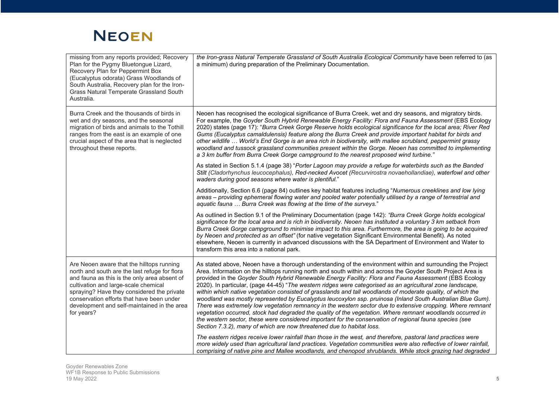| missing from any reports provided; Recovery<br>Plan for the Pygmy Bluetongue Lizard,<br>Recovery Plan for Peppermint Box<br>(Eucalyptus odorata) Grass Woodlands of<br>South Australia, Recovery plan for the Iron-<br>Grass Natural Temperate Grassland South<br>Australia.                                                               | the Iron-grass Natural Temperate Grassland of South Australia Ecological Community have been referred to (as<br>a minimum) during preparation of the Preliminary Documentation.                                                                                                                                                                                                                                                                                                                                                                                                                                                                                                                                                                                                                                                                                                                                                                                                                                                                                                                                                                                                                                  |
|--------------------------------------------------------------------------------------------------------------------------------------------------------------------------------------------------------------------------------------------------------------------------------------------------------------------------------------------|------------------------------------------------------------------------------------------------------------------------------------------------------------------------------------------------------------------------------------------------------------------------------------------------------------------------------------------------------------------------------------------------------------------------------------------------------------------------------------------------------------------------------------------------------------------------------------------------------------------------------------------------------------------------------------------------------------------------------------------------------------------------------------------------------------------------------------------------------------------------------------------------------------------------------------------------------------------------------------------------------------------------------------------------------------------------------------------------------------------------------------------------------------------------------------------------------------------|
| Burra Creek and the thousands of birds in<br>wet and dry seasons, and the seasonal<br>migration of birds and animals to the Tothill<br>ranges from the east is an example of one<br>crucial aspect of the area that is neglected<br>throughout these reports.                                                                              | Neoen has recognised the ecological significance of Burra Creek, wet and dry seasons, and migratory birds.<br>For example, the Goyder South Hybrid Renewable Energy Facility: Flora and Fauna Assessment (EBS Ecology<br>2020) states (page 17): "Burra Creek Gorge Reserve holds ecological significance for the local area; River Red<br>Gums (Eucalyptus camaldulensis) feature along the Burra Creek and provide important habitat for birds and<br>other wildlife  World's End Gorge is an area rich in biodiversity, with mallee scrubland, peppermint grassy<br>woodland and tussock grassland communities present within the Gorge. Neoen has committed to implementing<br>a 3 km buffer from Burra Creek Gorge campground to the nearest proposed wind turbine."                                                                                                                                                                                                                                                                                                                                                                                                                                        |
|                                                                                                                                                                                                                                                                                                                                            | As stated in Section 5.1.4 (page 38) "Porter Lagoon may provide a refuge for waterbirds such as the Banded<br>Stilt (Cladorhynchus leucocephalus), Red-necked Avocet (Recurvirostra novaehollandiae), waterfowl and other<br>waders during good seasons where water is plentiful."                                                                                                                                                                                                                                                                                                                                                                                                                                                                                                                                                                                                                                                                                                                                                                                                                                                                                                                               |
|                                                                                                                                                                                                                                                                                                                                            | Additionally, Section 6.6 (page 84) outlines key habitat features including "Numerous creeklines and low lying<br>areas - providing ephemeral flowing water and pooled water potentially utilised by a range of terrestrial and<br>aquatic fauna  Burra Creek was flowing at the time of the surveys."                                                                                                                                                                                                                                                                                                                                                                                                                                                                                                                                                                                                                                                                                                                                                                                                                                                                                                           |
|                                                                                                                                                                                                                                                                                                                                            | As outlined in Section 9.1 of the Preliminary Documentation (page 142): "Burra Creek Gorge holds ecological<br>significance for the local area and is rich in biodiversity. Neoen has instituted a voluntary 3 km setback from<br>Burra Creek Gorge campground to minimise impact to this area. Furthermore, the area is going to be acquired<br>by Neoen and protected as an offset" (for native vegetation Significant Environmental Benefit). As noted<br>elsewhere, Neoen is currently in advanced discussions with the SA Department of Environment and Water to<br>transform this area into a national park.                                                                                                                                                                                                                                                                                                                                                                                                                                                                                                                                                                                               |
| Are Neoen aware that the hilltops running<br>north and south are the last refuge for flora<br>and fauna as this is the only area absent of<br>cultivation and large-scale chemical<br>spraying? Have they considered the private<br>conservation efforts that have been under<br>development and self-maintained in the area<br>for years? | As stated above, Neoen have a thorough understanding of the environment within and surrounding the Project<br>Area. Information on the hilltops running north and south within and across the Goyder South Project Area is<br>provided in the Goyder South Hybrid Renewable Energy Facility: Flora and Fauna Assessment (EBS Ecology<br>2020). In particular, (page 44-45) "The western ridges were categorised as an agricultural zone landscape,<br>within which native vegetation consisted of grasslands and tall woodlands of moderate quality, of which the<br>woodland was mostly represented by Eucalyptus leucoxylon ssp. pruinosa (Inland South Australian Blue Gum).<br>There was extremely low vegetation remnancy in the western sector due to extensive cropping. Where remnant<br>vegetation occurred, stock had degraded the quality of the vegetation. Where remnant woodlands occurred in<br>the western sector, these were considered important for the conservation of regional fauna species (see<br>Section 7.3.2), many of which are now threatened due to habitat loss.<br>The eastern ridges receive lower rainfall than those in the west, and therefore, pastoral land practices were |
|                                                                                                                                                                                                                                                                                                                                            | more widely used than agricultural land practices. Vegetation communities were also reflective of lower rainfall,<br>comprising of native pine and Mallee woodlands, and chenopod shrublands. While stock grazing had degraded                                                                                                                                                                                                                                                                                                                                                                                                                                                                                                                                                                                                                                                                                                                                                                                                                                                                                                                                                                                   |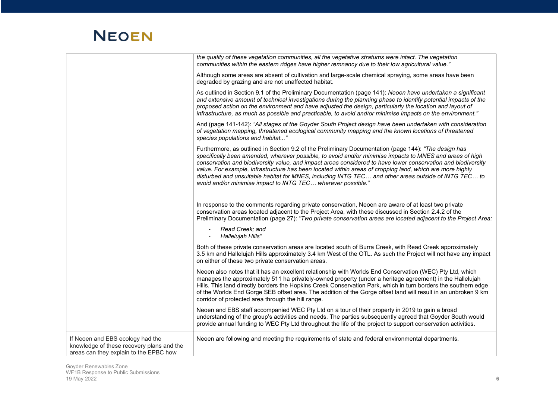|                                                                                                                         | the quality of these vegetation communities, all the vegetative stratums were intact. The vegetation<br>communities within the eastern ridges have higher remnancy due to their low agricultural value."                                                                                                                                                                                                                                                                                                                                                                                                             |
|-------------------------------------------------------------------------------------------------------------------------|----------------------------------------------------------------------------------------------------------------------------------------------------------------------------------------------------------------------------------------------------------------------------------------------------------------------------------------------------------------------------------------------------------------------------------------------------------------------------------------------------------------------------------------------------------------------------------------------------------------------|
|                                                                                                                         | Although some areas are absent of cultivation and large-scale chemical spraying, some areas have been<br>degraded by grazing and are not unaffected habitat.                                                                                                                                                                                                                                                                                                                                                                                                                                                         |
|                                                                                                                         | As outlined in Section 9.1 of the Preliminary Documentation (page 141): Neoen have undertaken a significant<br>and extensive amount of technical investigations during the planning phase to identify potential impacts of the<br>proposed action on the environment and have adjusted the design, particularly the location and layout of<br>infrastructure, as much as possible and practicable, to avoid and/or minimise impacts on the environment."                                                                                                                                                             |
|                                                                                                                         | And (page 141-142): "All stages of the Goyder South Project design have been undertaken with consideration<br>of vegetation mapping, threatened ecological community mapping and the known locations of threatened<br>species populations and habitat"                                                                                                                                                                                                                                                                                                                                                               |
|                                                                                                                         | Furthermore, as outlined in Section 9.2 of the Preliminary Documentation (page 144): "The design has<br>specifically been amended, wherever possible, to avoid and/or minimise impacts to MNES and areas of high<br>conservation and biodiversity value, and impact areas considered to have lower conservation and biodiversity<br>value. For example, infrastructure has been located within areas of cropping land, which are more highly<br>disturbed and unsuitable habitat for MNES, including INTG TEC and other areas outside of INTG TEC to<br>avoid and/or minimise impact to INTG TEC wherever possible." |
|                                                                                                                         | In response to the comments regarding private conservation, Neoen are aware of at least two private<br>conservation areas located adjacent to the Project Area, with these discussed in Section 2.4.2 of the<br>Preliminary Documentation (page 27): "Two private conservation areas are located adjacent to the Project Area:                                                                                                                                                                                                                                                                                       |
|                                                                                                                         | Read Creek: and<br>Hallelujah Hills"                                                                                                                                                                                                                                                                                                                                                                                                                                                                                                                                                                                 |
|                                                                                                                         | Both of these private conservation areas are located south of Burra Creek, with Read Creek approximately<br>3.5 km and Hallelujah Hills approximately 3.4 km West of the OTL. As such the Project will not have any impact<br>on either of these two private conservation areas.                                                                                                                                                                                                                                                                                                                                     |
|                                                                                                                         | Neoen also notes that it has an excellent relationship with Worlds End Conservation (WEC) Pty Ltd, which<br>manages the approximately 511 ha privately-owned property (under a heritage agreement) in the Hallelujah<br>Hills. This land directly borders the Hopkins Creek Conservation Park, which in turn borders the southern edge<br>of the Worlds End Gorge SEB offset area. The addition of the Gorge offset land will result in an unbroken 9 km<br>corridor of protected area through the hill range.                                                                                                       |
|                                                                                                                         | Neoen and EBS staff accompanied WEC Pty Ltd on a tour of their property in 2019 to gain a broad<br>understanding of the group's activities and needs. The parties subsequently agreed that Goyder South would<br>provide annual funding to WEC Pty Ltd throughout the life of the project to support conservation activities.                                                                                                                                                                                                                                                                                        |
| If Neoen and EBS ecology had the<br>knowledge of these recovery plans and the<br>areas can they explain to the EPBC how | Neoen are following and meeting the requirements of state and federal environmental departments.                                                                                                                                                                                                                                                                                                                                                                                                                                                                                                                     |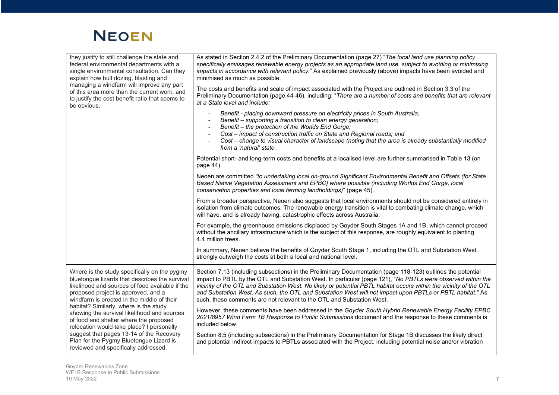

| they justify to still challenge the state and<br>federal environmental departments with a<br>single environmental consultation. Can they<br>explain how bull dozing, blasting and<br>managing a windfarm will improve any part<br>of this area more than the current work, and<br>to justify the cost benefit ratio that seems to<br>be obvious. | As stated in Section 2.4.2 of the Preliminary Documentation (page 27) "The local land use planning policy<br>specifically envisages renewable energy projects as an appropriate land use, subject to avoiding or minimising<br>impacts in accordance with relevant policy." As explained previously (above) impacts have been avoided and<br>minimised as much as possible.<br>The costs and benefits and scale of impact associated with the Project are outlined in Section 3.3 of the<br>Preliminary Documentation (page 44-46), including: "There are a number of costs and benefits that are relevant<br>at a State level and include: |
|--------------------------------------------------------------------------------------------------------------------------------------------------------------------------------------------------------------------------------------------------------------------------------------------------------------------------------------------------|---------------------------------------------------------------------------------------------------------------------------------------------------------------------------------------------------------------------------------------------------------------------------------------------------------------------------------------------------------------------------------------------------------------------------------------------------------------------------------------------------------------------------------------------------------------------------------------------------------------------------------------------|
|                                                                                                                                                                                                                                                                                                                                                  | Benefit - placing downward pressure on electricity prices in South Australia;<br>Benefit - supporting a transition to clean energy generation;<br>Benefit - the protection of the Worlds End Gorge;<br>Cost - impact of construction traffic on State and Regional roads; and<br>Cost - change to visual character of landscape (noting that the area is already substantially modified<br>from a 'natural' state.                                                                                                                                                                                                                          |
|                                                                                                                                                                                                                                                                                                                                                  | Potential short- and long-term costs and benefits at a localised level are further summarised in Table 13 (on<br>page 44).                                                                                                                                                                                                                                                                                                                                                                                                                                                                                                                  |
|                                                                                                                                                                                                                                                                                                                                                  | Neoen are committed "to undertaking local on-ground Significant Environmental Benefit and Offsets (for State<br>Based Native Vegetation Assessment and EPBC) where possible (including Worlds End Gorge, local<br>conservation properties and local farming landholdings)" (page 45).                                                                                                                                                                                                                                                                                                                                                       |
|                                                                                                                                                                                                                                                                                                                                                  | From a broader perspective, Neoen also suggests that local environments should not be considered entirely in<br>isolation from climate outcomes. The renewable energy transition is vital to combating climate change, which<br>will have, and is already having, catastrophic effects across Australia.                                                                                                                                                                                                                                                                                                                                    |
|                                                                                                                                                                                                                                                                                                                                                  | For example, the greenhouse emissions displaced by Goyder South Stages 1A and 1B, which cannot proceed<br>without the ancillary infrastructure which is the subject of this response, are roughly equivalent to planting<br>4.4 million trees.                                                                                                                                                                                                                                                                                                                                                                                              |
|                                                                                                                                                                                                                                                                                                                                                  | In summary, Neoen believe the benefits of Goyder South Stage 1, including the OTL and Substation West,<br>strongly outweigh the costs at both a local and national level.                                                                                                                                                                                                                                                                                                                                                                                                                                                                   |
| Where is the study specifically on the pygmy<br>bluetongue lizards that describes the survival<br>likelihood and sources of food available if the<br>proposed project is approved, and a<br>windfarm is erected in the middle of their                                                                                                           | Section 7.13 (including subsections) in the Preliminary Documentation (page 118-123) outlines the potential<br>impact to PBTL by the OTL and Substation West. In particular (page 121), "No PBTLs were observed within the<br>vicinity of the OTL and Substation West. No likely or potential PBTL habitat occurs within the vicinity of the OTL<br>and Substation West. As such, the OTL and Substation West will not impact upon PBTLs or PBTL habitat." As<br>such, these comments are not relevant to the OTL and Substation West.                                                                                                      |
| habitat? Similarly, where is the study<br>showing the survival likelihood and sources<br>of food and shelter where the proposed<br>relocation would take place? I personally                                                                                                                                                                     | However, these comments have been addressed in the Goyder South Hybrid Renewable Energy Facility EPBC<br>2021/8957 Wind Farm 1B Response to Public Submissions document and the response to these comments is<br>included below.                                                                                                                                                                                                                                                                                                                                                                                                            |
| suggest that pages 13-14 of the Recovery<br>Plan for the Pygmy Bluetongue Lizard is<br>reviewed and specifically addressed.                                                                                                                                                                                                                      | Section 8.5 (including subsections) in the Preliminary Documentation for Stage 1B discusses the likely direct<br>and potential indirect impacts to PBTLs associated with the Project, including potential noise and/or vibration                                                                                                                                                                                                                                                                                                                                                                                                            |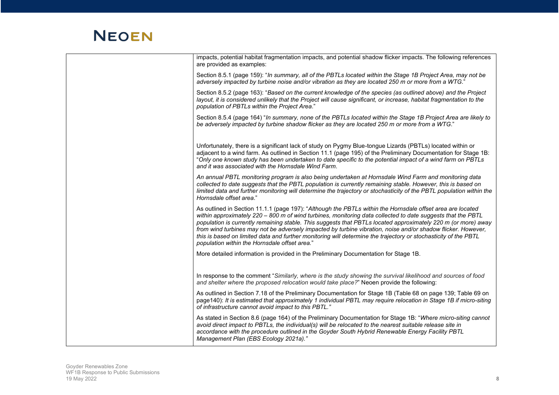| impacts, potential habitat fragmentation impacts, and potential shadow flicker impacts. The following references<br>are provided as examples:                                                                                                                                                                                                                                                                                                                                                                                                                                                                                  |
|--------------------------------------------------------------------------------------------------------------------------------------------------------------------------------------------------------------------------------------------------------------------------------------------------------------------------------------------------------------------------------------------------------------------------------------------------------------------------------------------------------------------------------------------------------------------------------------------------------------------------------|
| Section 8.5.1 (page 159): "In summary, all of the PBTLs located within the Stage 1B Project Area, may not be<br>adversely impacted by turbine noise and/or vibration as they are located 250 m or more from a WTG."                                                                                                                                                                                                                                                                                                                                                                                                            |
| Section 8.5.2 (page 163): "Based on the current knowledge of the species (as outlined above) and the Project<br>layout, it is considered unlikely that the Project will cause significant, or increase, habitat fragmentation to the<br>population of PBTLs within the Project Area."                                                                                                                                                                                                                                                                                                                                          |
| Section 8.5.4 (page 164) "In summary, none of the PBTLs located within the Stage 1B Project Area are likely to<br>be adversely impacted by turbine shadow flicker as they are located 250 m or more from a WTG."                                                                                                                                                                                                                                                                                                                                                                                                               |
| Unfortunately, there is a significant lack of study on Pygmy Blue-tongue Lizards (PBTLs) located within or<br>adjacent to a wind farm. As outlined in Section 11.1 (page 195) of the Preliminary Documentation for Stage 1B:<br>"Only one known study has been undertaken to date specific to the potential impact of a wind farm on PBTLs<br>and it was associated with the Hornsdale Wind Farm.                                                                                                                                                                                                                              |
| An annual PBTL monitoring program is also being undertaken at Hornsdale Wind Farm and monitoring data<br>collected to date suggests that the PBTL population is currently remaining stable. However, this is based on<br>limited data and further monitoring will determine the trajectory or stochasticity of the PBTL population within the<br>Hornsdale offset area."                                                                                                                                                                                                                                                       |
| As outlined in Section 11.1.1 (page 197): "Although the PBTLs within the Hornsdale offset area are located<br>within approximately 220 - 800 m of wind turbines, monitoring data collected to date suggests that the PBTL<br>population is currently remaining stable. This suggests that PBTLs located approximately 220 m (or more) away<br>from wind turbines may not be adversely impacted by turbine vibration, noise and/or shadow flicker. However,<br>this is based on limited data and further monitoring will determine the trajectory or stochasticity of the PBTL<br>population within the Hornsdale offset area." |
| More detailed information is provided in the Preliminary Documentation for Stage 1B.                                                                                                                                                                                                                                                                                                                                                                                                                                                                                                                                           |
| In response to the comment "Similarly, where is the study showing the survival likelihood and sources of food<br>and shelter where the proposed relocation would take place?" Neoen provide the following:                                                                                                                                                                                                                                                                                                                                                                                                                     |
| As outlined in Section 7.18 of the Preliminary Documentation for Stage 1B (Table 68 on page 139; Table 69 on<br>page140): It is estimated that approximately 1 individual PBTL may require relocation in Stage 1B if micro-siting<br>of infrastructure cannot avoid impact to this PBTL."                                                                                                                                                                                                                                                                                                                                      |
| As stated in Section 8.6 (page 164) of the Preliminary Documentation for Stage 1B: "Where micro-siting cannot<br>avoid direct impact to PBTLs, the individual(s) will be relocated to the nearest suitable release site in<br>accordance with the procedure outlined in the Goyder South Hybrid Renewable Energy Facility PBTL<br>Management Plan (EBS Ecology 2021a)."                                                                                                                                                                                                                                                        |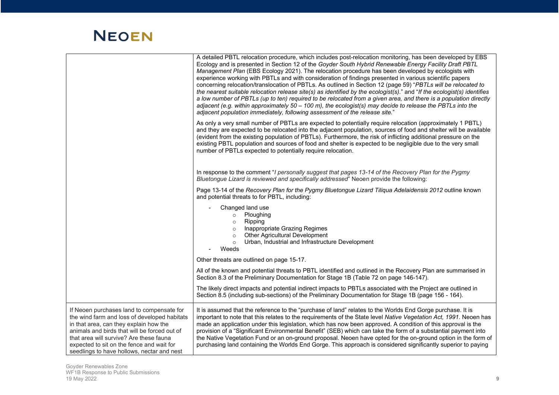|                                                                                                                                                                                                                                                                                                                           | A detailed PBTL relocation procedure, which includes post-relocation monitoring, has been developed by EBS<br>Ecology and is presented in Section 12 of the Goyder South Hybrid Renewable Energy Facility Draft PBTL<br>Management Plan (EBS Ecology 2021). The relocation procedure has been developed by ecologists with<br>experience working with PBTLs and with consideration of findings presented in various scientific papers<br>concerning relocation/translocation of PBTLs. As outlined in Section 12 (page 59) "PBTLs will be relocated to<br>the nearest suitable relocation release site(s) as identified by the ecologist(s)." and "If the ecologist(s) identifies<br>a low number of PBTLs (up to ten) required to be relocated from a given area, and there is a population directly<br>adjacent (e.g. within approximately 50 - 100 m), the ecologist(s) may decide to release the PBTLs into the<br>adjacent population immediately, following assessment of the release site." |
|---------------------------------------------------------------------------------------------------------------------------------------------------------------------------------------------------------------------------------------------------------------------------------------------------------------------------|----------------------------------------------------------------------------------------------------------------------------------------------------------------------------------------------------------------------------------------------------------------------------------------------------------------------------------------------------------------------------------------------------------------------------------------------------------------------------------------------------------------------------------------------------------------------------------------------------------------------------------------------------------------------------------------------------------------------------------------------------------------------------------------------------------------------------------------------------------------------------------------------------------------------------------------------------------------------------------------------------|
|                                                                                                                                                                                                                                                                                                                           | As only a very small number of PBTLs are expected to potentially require relocation (approximately 1 PBTL)<br>and they are expected to be relocated into the adjacent population, sources of food and shelter will be available<br>(evident from the existing population of PBTLs). Furthermore, the risk of inflicting additional pressure on the<br>existing PBTL population and sources of food and shelter is expected to be negligible due to the very small<br>number of PBTLs expected to potentially require relocation.                                                                                                                                                                                                                                                                                                                                                                                                                                                                   |
|                                                                                                                                                                                                                                                                                                                           | In response to the comment "I personally suggest that pages 13-14 of the Recovery Plan for the Pygmy<br>Bluetongue Lizard is reviewed and specifically addressed" Neoen provide the following:                                                                                                                                                                                                                                                                                                                                                                                                                                                                                                                                                                                                                                                                                                                                                                                                     |
|                                                                                                                                                                                                                                                                                                                           | Page 13-14 of the Recovery Plan for the Pygmy Bluetongue Lizard Tiliqua Adelaidensis 2012 outline known<br>and potential threats to for PBTL, including:                                                                                                                                                                                                                                                                                                                                                                                                                                                                                                                                                                                                                                                                                                                                                                                                                                           |
|                                                                                                                                                                                                                                                                                                                           | Changed land use<br>Ploughing<br>$\circ$<br>$\circ$ Ripping<br>o Inappropriate Grazing Regimes<br>Other Agricultural Development<br>$\circ$<br>Urban, Industrial and Infrastructure Development<br>$\circ$<br>Weeds                                                                                                                                                                                                                                                                                                                                                                                                                                                                                                                                                                                                                                                                                                                                                                                |
|                                                                                                                                                                                                                                                                                                                           | Other threats are outlined on page 15-17.                                                                                                                                                                                                                                                                                                                                                                                                                                                                                                                                                                                                                                                                                                                                                                                                                                                                                                                                                          |
|                                                                                                                                                                                                                                                                                                                           | All of the known and potential threats to PBTL identified and outlined in the Recovery Plan are summarised in<br>Section 8.3 of the Preliminary Documentation for Stage 1B (Table 72 on page 146-147).                                                                                                                                                                                                                                                                                                                                                                                                                                                                                                                                                                                                                                                                                                                                                                                             |
|                                                                                                                                                                                                                                                                                                                           | The likely direct impacts and potential indirect impacts to PBTLs associated with the Project are outlined in<br>Section 8.5 (including sub-sections) of the Preliminary Documentation for Stage 1B (page 156 - 164).                                                                                                                                                                                                                                                                                                                                                                                                                                                                                                                                                                                                                                                                                                                                                                              |
| If Neoen purchases land to compensate for<br>the wind farm and loss of developed habitats<br>in that area, can they explain how the<br>animals and birds that will be forced out of<br>that area will survive? Are these fauna<br>expected to sit on the fence and wait for<br>seedlings to have hollows, nectar and nest | It is assumed that the reference to the "purchase of land" relates to the Worlds End Gorge purchase. It is<br>important to note that this relates to the requirements of the State level Native Vegetation Act, 1991. Neoen has<br>made an application under this legislation, which has now been approved. A condition of this approval is the<br>provision of a "Significant Environmental Benefit" (SEB) which can take the form of a substantial payment into<br>the Native Vegetation Fund or an on-ground proposal. Neoen have opted for the on-ground option in the form of<br>purchasing land containing the Worlds End Gorge. This approach is considered significantly superior to paying                                                                                                                                                                                                                                                                                                |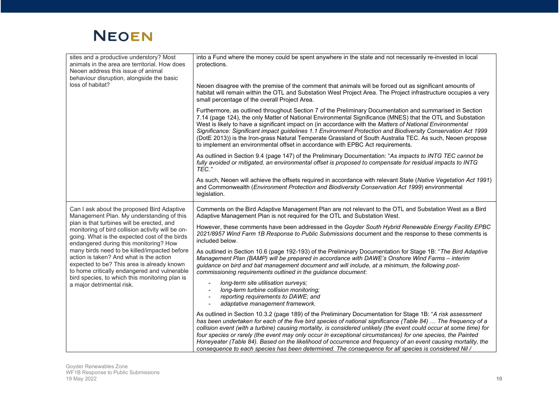| sites and a productive understory? Most<br>animals in the area are territorial. How does<br>Neoen address this issue of animal<br>behaviour disruption, alongside the basic<br>loss of habitat?                                         | into a Fund where the money could be spent anywhere in the state and not necessarily re-invested in local<br>protections.<br>Neoen disagree with the premise of the comment that animals will be forced out as significant amounts of<br>habitat will remain within the OTL and Substation West Project Area. The Project infrastructure occupies a very<br>small percentage of the overall Project Area.                                                                                                                                                                                                                                                                                  |
|-----------------------------------------------------------------------------------------------------------------------------------------------------------------------------------------------------------------------------------------|--------------------------------------------------------------------------------------------------------------------------------------------------------------------------------------------------------------------------------------------------------------------------------------------------------------------------------------------------------------------------------------------------------------------------------------------------------------------------------------------------------------------------------------------------------------------------------------------------------------------------------------------------------------------------------------------|
|                                                                                                                                                                                                                                         | Furthermore, as outlined throughout Section 7 of the Preliminary Documentation and summarised in Section<br>7.14 (page 124), the only Matter of National Environmental Significance (MNES) that the OTL and Substation<br>West is likely to have a significant impact on (in accordance with the Matters of National Environmental<br>Significance: Significant impact guidelines 1.1 Environment Protection and Biodiversity Conservation Act 1999<br>(DotE 2013)) is the Iron-grass Natural Temperate Grassland of South Australia TEC. As such, Neoen propose<br>to implement an environmental offset in accordance with EPBC Act requirements.                                         |
|                                                                                                                                                                                                                                         | As outlined in Section 9.4 (page 147) of the Preliminary Documentation: "As impacts to INTG TEC cannot be<br>fully avoided or mitigated, an environmental offset is proposed to compensate for residual impacts to INTG<br>TEC."                                                                                                                                                                                                                                                                                                                                                                                                                                                           |
|                                                                                                                                                                                                                                         | As such, Neoen will achieve the offsets required in accordance with relevant State (Native Vegetation Act 1991)<br>and Commonwealth (Environment Protection and Biodiversity Conservation Act 1999) environmental<br>legislation.                                                                                                                                                                                                                                                                                                                                                                                                                                                          |
| Can I ask about the proposed Bird Adaptive<br>Management Plan. My understanding of this                                                                                                                                                 | Comments on the Bird Adaptive Management Plan are not relevant to the OTL and Substation West as a Bird<br>Adaptive Management Plan is not required for the OTL and Substation West.                                                                                                                                                                                                                                                                                                                                                                                                                                                                                                       |
| plan is that turbines will be erected, and<br>monitoring of bird collision activity will be on-<br>going. What is the expected cost of the birds<br>endangered during this monitoring? How                                              | However, these comments have been addressed in the Goyder South Hybrid Renewable Energy Facility EPBC<br>2021/8957 Wind Farm 1B Response to Public Submissions document and the response to these comments is<br>included below.                                                                                                                                                                                                                                                                                                                                                                                                                                                           |
| many birds need to be killed/impacted before<br>action is taken? And what is the action<br>expected to be? This area is already known<br>to home critically endangered and vulnerable<br>bird species, to which this monitoring plan is | As outlined in Section 10.6 (page 192-193) of the Preliminary Documentation for Stage 1B: "The Bird Adaptive<br>Management Plan (BAMP) will be prepared in accordance with DAWE's Onshore Wind Farms - interim<br>guidance on bird and bat management document and will include, at a minimum, the following post-<br>commissioning requirements outlined in the guidance document:                                                                                                                                                                                                                                                                                                        |
| a major detrimental risk.                                                                                                                                                                                                               | long-term site utilisation surveys;<br>long-term turbine collision monitoring;<br>reporting requirements to DAWE; and<br>adaptative management framework.                                                                                                                                                                                                                                                                                                                                                                                                                                                                                                                                  |
|                                                                                                                                                                                                                                         | As outlined in Section 10.3.2 (page 189) of the Preliminary Documentation for Stage 1B: "A risk assessment<br>has been undertaken for each of the five bird species of national significance (Table 84)  The frequency of a<br>collision event (with a turbine) causing mortality, is considered unlikely (the event could occur at some time) for<br>four species or rarely (the event may only occur in exceptional circumstances) for one species, the Painted<br>Honeyeater (Table 84). Based on the likelihood of occurrence and frequency of an event causing mortality, the<br>consequence to each species has been determined. The consequence for all species is considered Nil / |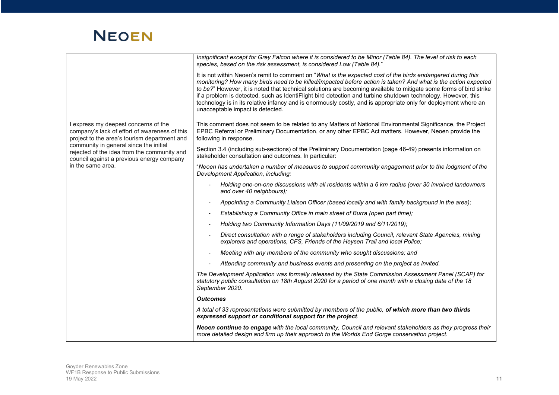|                                                                                                                                       | Insignificant except for Grey Falcon where it is considered to be Minor (Table 84). The level of risk to each<br>species, based on the risk assessment, is considered Low (Table 84)."                                                                                                                                                                                                                                                                                                                                                                                                                                    |
|---------------------------------------------------------------------------------------------------------------------------------------|---------------------------------------------------------------------------------------------------------------------------------------------------------------------------------------------------------------------------------------------------------------------------------------------------------------------------------------------------------------------------------------------------------------------------------------------------------------------------------------------------------------------------------------------------------------------------------------------------------------------------|
|                                                                                                                                       | It is not within Neoen's remit to comment on "What is the expected cost of the birds endangered during this<br>monitoring? How many birds need to be killed/impacted before action is taken? And what is the action expected<br>to be?" However, it is noted that technical solutions are becoming available to mitigate some forms of bird strike<br>if a problem is detected, such as IdentiFlight bird detection and turbine shutdown technology. However, this<br>technology is in its relative infancy and is enormously costly, and is appropriate only for deployment where an<br>unacceptable impact is detected. |
| I express my deepest concerns of the<br>company's lack of effort of awareness of this<br>project to the area's tourism department and | This comment does not seem to be related to any Matters of National Environmental Significance, the Project<br>EPBC Referral or Preliminary Documentation, or any other EPBC Act matters. However, Neoen provide the<br>following in response.                                                                                                                                                                                                                                                                                                                                                                            |
| community in general since the initial<br>rejected of the idea from the community and<br>council against a previous energy company    | Section 3.4 (including sub-sections) of the Preliminary Documentation (page 46-49) presents information on<br>stakeholder consultation and outcomes. In particular:                                                                                                                                                                                                                                                                                                                                                                                                                                                       |
| in the same area.                                                                                                                     | "Neoen has undertaken a number of measures to support community engagement prior to the lodgment of the<br>Development Application, including:                                                                                                                                                                                                                                                                                                                                                                                                                                                                            |
|                                                                                                                                       | Holding one-on-one discussions with all residents within a 6 km radius (over 30 involved landowners<br>and over 40 neighbours);                                                                                                                                                                                                                                                                                                                                                                                                                                                                                           |
|                                                                                                                                       | Appointing a Community Liaison Officer (based locally and with family background in the area);                                                                                                                                                                                                                                                                                                                                                                                                                                                                                                                            |
|                                                                                                                                       | Establishing a Community Office in main street of Burra (open part time);                                                                                                                                                                                                                                                                                                                                                                                                                                                                                                                                                 |
|                                                                                                                                       | Holding two Community Information Days (11/09/2019 and 6/11/2019);                                                                                                                                                                                                                                                                                                                                                                                                                                                                                                                                                        |
|                                                                                                                                       | Direct consultation with a range of stakeholders including Council, relevant State Agencies, mining<br>explorers and operations, CFS, Friends of the Heysen Trail and local Police;                                                                                                                                                                                                                                                                                                                                                                                                                                       |
|                                                                                                                                       | Meeting with any members of the community who sought discussions; and                                                                                                                                                                                                                                                                                                                                                                                                                                                                                                                                                     |
|                                                                                                                                       | Attending community and business events and presenting on the project as invited.                                                                                                                                                                                                                                                                                                                                                                                                                                                                                                                                         |
|                                                                                                                                       | The Development Application was formally released by the State Commission Assessment Panel (SCAP) for<br>statutory public consultation on 18th August 2020 for a period of one month with a closing date of the 18<br>September 2020.                                                                                                                                                                                                                                                                                                                                                                                     |
|                                                                                                                                       | <b>Outcomes</b>                                                                                                                                                                                                                                                                                                                                                                                                                                                                                                                                                                                                           |
|                                                                                                                                       | A total of 33 representations were submitted by members of the public, of which more than two thirds<br>expressed support or conditional support for the project.                                                                                                                                                                                                                                                                                                                                                                                                                                                         |
|                                                                                                                                       | Neoen continue to engage with the local community, Council and relevant stakeholders as they progress their<br>more detailed design and firm up their approach to the Worlds End Gorge conservation project.                                                                                                                                                                                                                                                                                                                                                                                                              |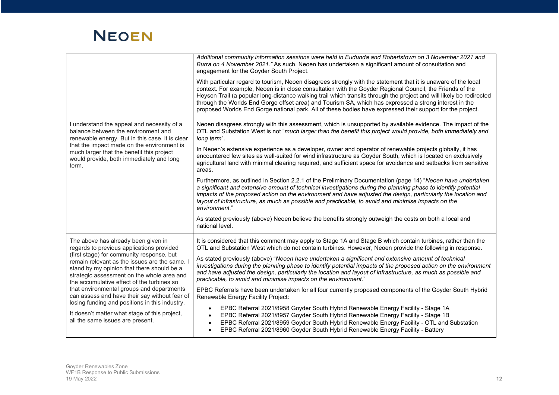|                                                                                                                                                                                                                                                                                                                                                                                                                                                                                                                                                             | Additional community information sessions were held in Eudunda and Robertstown on 3 November 2021 and<br>Burra on 4 November 2021." As such, Neoen has undertaken a significant amount of consultation and<br>engagement for the Goyder South Project.<br>With particular regard to tourism, Neoen disagrees strongly with the statement that it is unaware of the local<br>context. For example, Neoen is in close consultation with the Goyder Regional Council, the Friends of the<br>Heysen Trail (a popular long-distance walking trail which transits through the project and will likely be redirected<br>through the Worlds End Gorge offset area) and Tourism SA, which has expressed a strong interest in the<br>proposed Worlds End Gorge national park. All of these bodies have expressed their support for the project.                                                                                                                                                                                                                                                                                                                                                                            |
|-------------------------------------------------------------------------------------------------------------------------------------------------------------------------------------------------------------------------------------------------------------------------------------------------------------------------------------------------------------------------------------------------------------------------------------------------------------------------------------------------------------------------------------------------------------|------------------------------------------------------------------------------------------------------------------------------------------------------------------------------------------------------------------------------------------------------------------------------------------------------------------------------------------------------------------------------------------------------------------------------------------------------------------------------------------------------------------------------------------------------------------------------------------------------------------------------------------------------------------------------------------------------------------------------------------------------------------------------------------------------------------------------------------------------------------------------------------------------------------------------------------------------------------------------------------------------------------------------------------------------------------------------------------------------------------------------------------------------------------------------------------------------------------|
| I understand the appeal and necessity of a<br>balance between the environment and<br>renewable energy. But in this case, it is clear<br>that the impact made on the environment is<br>much larger that the benefit this project<br>would provide, both immediately and long<br>term.                                                                                                                                                                                                                                                                        | Neoen disagrees strongly with this assessment, which is unsupported by available evidence. The impact of the<br>OTL and Substation West is not "much larger than the benefit this project would provide, both immediately and<br>long term".<br>In Neoen's extensive experience as a developer, owner and operator of renewable projects globally, it has<br>encountered few sites as well-suited for wind infrastructure as Goyder South, which is located on exclusively<br>agricultural land with minimal clearing required, and sufficient space for avoidance and setbacks from sensitive<br>areas.<br>Furthermore, as outlined in Section 2.2.1 of the Preliminary Documentation (page 14) "Neoen have undertaken<br>a significant and extensive amount of technical investigations during the planning phase to identify potential<br>impacts of the proposed action on the environment and have adjusted the design, particularly the location and<br>layout of infrastructure, as much as possible and practicable, to avoid and minimise impacts on the<br>environment."<br>As stated previously (above) Neoen believe the benefits strongly outweigh the costs on both a local and<br>national level. |
| The above has already been given in<br>regards to previous applications provided<br>(first stage) for community response, but<br>remain relevant as the issues are the same.<br>stand by my opinion that there should be a<br>strategic assessment on the whole area and<br>the accumulative effect of the turbines so<br>that environmental groups and departments<br>can assess and have their say without fear of<br>losing funding and positions in this industry.<br>It doesn't matter what stage of this project,<br>all the same issues are present. | It is considered that this comment may apply to Stage 1A and Stage B which contain turbines, rather than the<br>OTL and Substation West which do not contain turbines. However, Neoen provide the following in response.<br>As stated previously (above) "Neoen have undertaken a significant and extensive amount of technical<br>investigations during the planning phase to identify potential impacts of the proposed action on the environment<br>and have adjusted the design, particularly the location and layout of infrastructure, as much as possible and<br>practicable, to avoid and minimise impacts on the environment."<br>EPBC Referrals have been undertaken for all four currently proposed components of the Goyder South Hybrid<br>Renewable Energy Facility Project:<br>EPBC Referral 2021/8958 Goyder South Hybrid Renewable Energy Facility - Stage 1A<br>$\bullet$<br>EPBC Referral 2021/8957 Goyder South Hybrid Renewable Energy Facility - Stage 1B<br>$\bullet$<br>EPBC Referral 2021/8959 Goyder South Hybrid Renewable Energy Facility - OTL and Substation<br>EPBC Referral 2021/8960 Goyder South Hybrid Renewable Energy Facility - Battery<br>$\bullet$                       |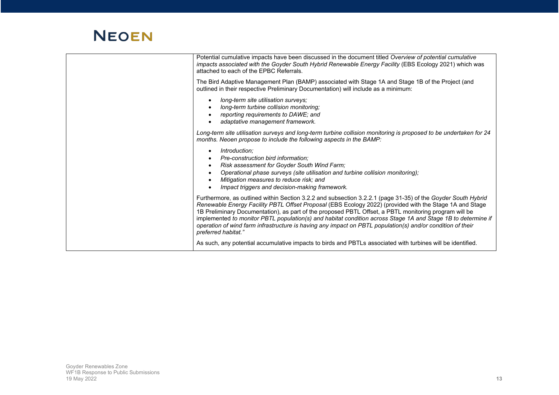| Potential cumulative impacts have been discussed in the document titled Overview of potential cumulative<br>impacts associated with the Goyder South Hybrid Renewable Energy Facility (EBS Ecology 2021) which was<br>attached to each of the EPBC Referrals.<br>The Bird Adaptive Management Plan (BAMP) associated with Stage 1A and Stage 1B of the Project (and                                                                                                                                                                                                                   |
|---------------------------------------------------------------------------------------------------------------------------------------------------------------------------------------------------------------------------------------------------------------------------------------------------------------------------------------------------------------------------------------------------------------------------------------------------------------------------------------------------------------------------------------------------------------------------------------|
| outlined in their respective Preliminary Documentation) will include as a minimum:                                                                                                                                                                                                                                                                                                                                                                                                                                                                                                    |
| long-term site utilisation surveys;<br>long-term turbine collision monitoring;<br>reporting requirements to DAWE; and<br>adaptative management framework.                                                                                                                                                                                                                                                                                                                                                                                                                             |
| Long-term site utilisation surveys and long-term turbine collision monitoring is proposed to be undertaken for 24<br>months. Neoen propose to include the following aspects in the BAMP:                                                                                                                                                                                                                                                                                                                                                                                              |
| Introduction;<br>Pre-construction bird information:<br>Risk assessment for Goyder South Wind Farm;<br>Operational phase surveys (site utilisation and turbine collision monitoring);<br>Mitigation measures to reduce risk; and<br>Impact triggers and decision-making framework.                                                                                                                                                                                                                                                                                                     |
| Furthermore, as outlined within Section 3.2.2 and subsection 3.2.2.1 (page 31-35) of the Goyder South Hybrid<br>Renewable Energy Facility PBTL Offset Proposal (EBS Ecology 2022) (provided with the Stage 1A and Stage<br>1B Preliminary Documentation), as part of the proposed PBTL Offset, a PBTL monitoring program will be<br>implemented to monitor PBTL population(s) and habitat condition across Stage 1A and Stage 1B to determine if<br>operation of wind farm infrastructure is having any impact on PBTL population(s) and/or condition of their<br>preferred habitat." |
| As such, any potential accumulative impacts to birds and PBTLs associated with turbines will be identified.                                                                                                                                                                                                                                                                                                                                                                                                                                                                           |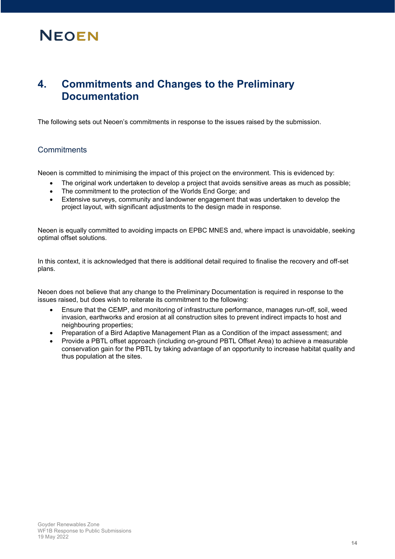#### **4. Commitments and Changes to the Preliminary Documentation**

The following sets out Neoen's commitments in response to the issues raised by the submission.

#### **Commitments**

Neoen is committed to minimising the impact of this project on the environment. This is evidenced by:

- The original work undertaken to develop a project that avoids sensitive areas as much as possible;
- The commitment to the protection of the Worlds End Gorge; and
- Extensive surveys, community and landowner engagement that was undertaken to develop the project layout, with significant adjustments to the design made in response.

Neoen is equally committed to avoiding impacts on EPBC MNES and, where impact is unavoidable, seeking optimal offset solutions.

In this context, it is acknowledged that there is additional detail required to finalise the recovery and off-set plans.

Neoen does not believe that any change to the Preliminary Documentation is required in response to the issues raised, but does wish to reiterate its commitment to the following:

- Ensure that the CEMP, and monitoring of infrastructure performance, manages run-off, soil, weed invasion, earthworks and erosion at all construction sites to prevent indirect impacts to host and neighbouring properties;
- Preparation of a Bird Adaptive Management Plan as a Condition of the impact assessment; and
- x Provide a PBTL offset approach (including on-ground PBTL Offset Area) to achieve a measurable conservation gain for the PBTL by taking advantage of an opportunity to increase habitat quality and thus population at the sites.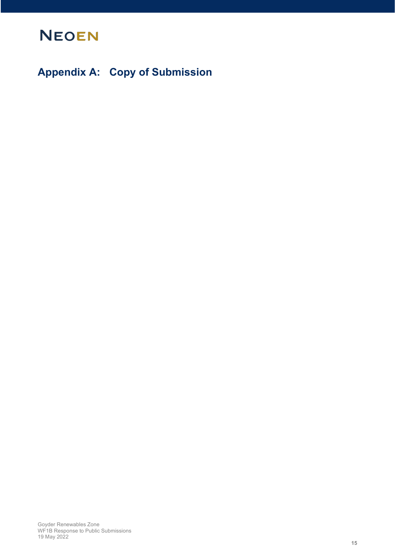

**Appendix A: Copy of Submission**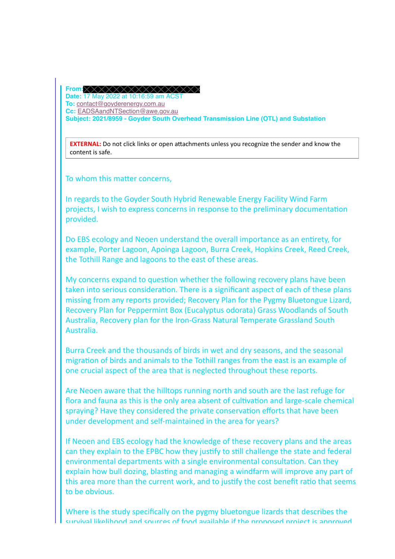**From: Date:** 17 May 2022 at 10:16:59 am ACST **To:** contact@goyderenergy.com.au **Cc:** EADSAandNTSection@awe.gov.au **Subject: 2021/8959 - Goyder South Overhead Transmission Line (OTL) and Substation**

**EXTERNAL:** Do not click links or open attachments unless you recognize the sender and know the content is safe.

To whom this matter concerns,

In regards to the Goyder South Hybrid Renewable Energy Facility Wind Farm projects, I wish to express concerns in response to the preliminary documentation provided.

Do EBS ecology and Neoen understand the overall importance as an entirety, for example, Porter Lagoon, Apoinga Lagoon, Burra Creek, Hopkins Creek, Reed Creek, the Tothill Range and lagoons to the east of these areas.

My concerns expand to question whether the following recovery plans have been taken into serious consideration. There is a significant aspect of each of these plans missing from any reports provided; Recovery Plan for the Pygmy Bluetongue Lizard, Recovery Plan for Peppermint Box (Eucalyptus odorata) Grass Woodlands of South Australia, Recovery plan for the Iron-Grass Natural Temperate Grassland South Australia.

Burra Creek and the thousands of birds in wet and dry seasons, and the seasonal migration of birds and animals to the Tothill ranges from the east is an example of one crucial aspect of the area that is neglected throughout these reports.

Are Neoen aware that the hilltops running north and south are the last refuge for flora and fauna as this is the only area absent of cultivation and large-scale chemical spraying? Have they considered the private conservation efforts that have been under development and self-maintained in the area for years?

If Neoen and EBS ecology had the knowledge of these recovery plans and the areas can they explain to the EPBC how they justify to still challenge the state and federal environmental departments with a single environmental consultation. Can they explain how bull dozing, blasting and managing a windfarm will improve any part of this area more than the current work, and to justify the cost benefit ratio that seems to be obvious.

Where is the study specifically on the pygmy bluetongue lizards that describes the Text survival likelihood and sources of food available if the proposed project is approved,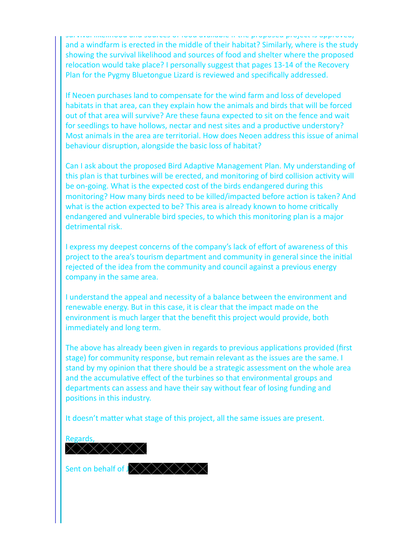survival incliniood and sources of food available if the proposed project is approved, and a windfarm is erected in the middle of their habitat? Similarly, where is the study showing the survival likelihood and sources of food and shelter where the proposed relocation would take place? I personally suggest that pages 13-14 of the Recovery Plan for the Pygmy Bluetongue Lizard is reviewed and specifically addressed.

If Neoen purchases land to compensate for the wind farm and loss of developed habitats in that area, can they explain how the animals and birds that will be forced out of that area will survive? Are these fauna expected to sit on the fence and wait for seedlings to have hollows, nectar and nest sites and a productive understory? Most animals in the area are territorial. How does Neoen address this issue of animal behaviour disruption, alongside the basic loss of habitat?

Can I ask about the proposed Bird Adaptive Management Plan. My understanding of this plan is that turbines will be erected, and monitoring of bird collision activity will be on-going. What is the expected cost of the birds endangered during this monitoring? How many birds need to be killed/impacted before action is taken? And what is the action expected to be? This area is already known to home critically endangered and vulnerable bird species, to which this monitoring plan is a major detrimental risk.

I express my deepest concerns of the company's lack of effort of awareness of this project to the area's tourism department and community in general since the initial rejected of the idea from the community and council against a previous energy company in the same area.

I understand the appeal and necessity of a balance between the environment and renewable energy. But in this case, it is clear that the impact made on the environment is much larger that the benefit this project would provide, both immediately and long term.

The above has already been given in regards to previous applications provided (first stage) for community response, but remain relevant as the issues are the same. I stand by my opinion that there should be a strategic assessment on the whole area and the accumulative effect of the turbines so that environmental groups and departments can assess and have their say without fear of losing funding and positions in this industry.

It doesn't matter what stage of this project, all the same issues are present.

Regards,

Sent on behalf of  $JXXXXXX$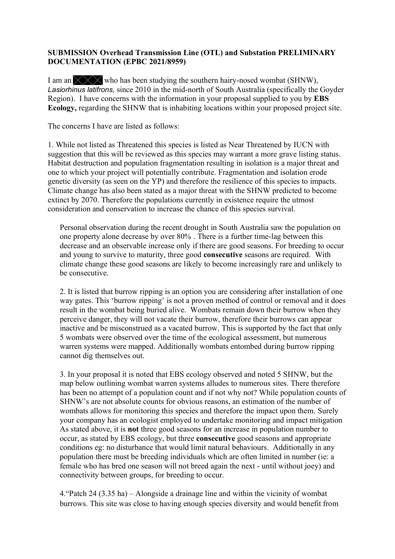#### **SUBMISSION Overhead Transmission Line (OTL) and Substation PRELIMINARY DOCUMENTATION (EPBC 2021/8959)**

I am an  $\chi$  who has been studying the southern hairy-nosed wombat (SHNW), *Lasiorhinus latifrons,* since 2010 in the mid-north of South Australia (specifically the Goyder Region). I have concerns with the information in your proposal supplied to you by **EBS Ecology,** regarding the SHNW that is inhabiting locations within your proposed project site.

The concerns I have are listed as follows:

1. While not listed as Threatened this species is listed as Near Threatened by IUCN with suggestion that this will be reviewed as this species may warrant a more grave listing status. Habitat destruction and population fragmentation resulting in isolation is a major threat and one to which your project will potentially contribute. Fragmentation and isolation erode genetic diversity (as seen on the YP) and therefore the resilience of this species to impacts. Climate change has also been stated as a major threat with the SHNW predicted to become extinct by 2070. Therefore the populations currently in existence require the utmost consideration and conservation to increase the chance of this species survival.

Personal observation during the recent drought in South Australia saw the population on one property alone decrease by over 80% . There is a further time-lag between this decrease and an observable increase only if there are good seasons. For breeding to occur and young to survive to maturity, three good **consecutive** seasons are required. With climate change these good seasons are likely to become increasingly rare and unlikely to be consecutive.

2. It is listed that burrow ripping is an option you are considering after installation of one way gates. This 'burrow ripping' is not a proven method of control or removal and it does result in the wombat being buried alive. Wombats remain down their burrow when they perceive danger, they will not vacate their burrow, therefore their burrows can appear inactive and be misconstrued as a vacated burrow. This is supported by the fact that only 5 wombats were observed over the time of the ecological assessment, but numerous warren systems were mapped. Additionally wombats entombed during burrow ripping cannot dig themselves out.

3. In your proposal it is noted that EBS ecology observed and noted 5 SHNW, but the map below outlining wombat warren systems alludes to numerous sites. There therefore has been no attempt of a population count and if not why not? While population counts of SHNW's are not absolute counts for obvious reasons, an estimation of the number of wombats allows for monitoring this species and therefore the impact upon them. Surely your company has an ecologist employed to undertake monitoring and impact mitigation As stated above, it is **not** three good seasons for an increase in population number to occur, as stated by EBS ecology, but three **consecutive** good seasons and appropriate conditions eg: no disturbance that would limit natural behaviours. Additionally in any population there must be breeding individuals which are often limited in number (ie: a female who has bred one season will not breed again the next - until without joey) and connectivity between groups, for breeding to occur.

4. "Patch 24 (3.35 ha)  $-$  Alongside a drainage line and within the vicinity of wombat burrows. This site was close to having enough species diversity and would benefit from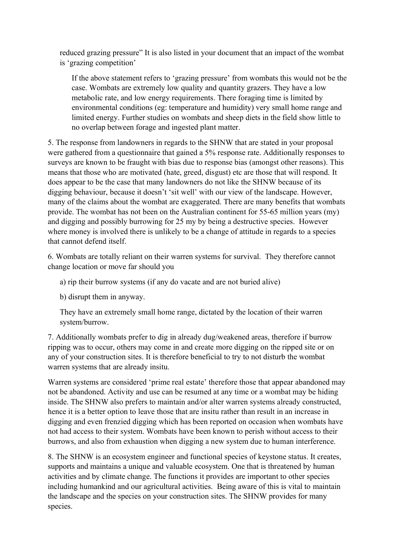reduced grazing pressure" It is also listed in your document that an impact of the wombat is 'grazing competition'

If the above statement refers to 'grazing pressure' from wombats this would not be the case. Wombats are extremely low quality and quantity grazers. They have a low metabolic rate, and low energy requirements. There foraging time is limited by environmental conditions (eg: temperature and humidity) very small home range and limited energy. Further studies on wombats and sheep diets in the field show little to no overlap between forage and ingested plant matter.

5. The response from landowners in regards to the SHNW that are stated in your proposal were gathered from a questionnaire that gained a 5% response rate. Additionally responses to surveys are known to be fraught with bias due to response bias (amongst other reasons). This means that those who are motivated (hate, greed, disgust) etc are those that will respond. It does appear to be the case that many landowners do not like the SHNW because of its digging behaviour, because it doesn't 'sit well' with our view of the landscape. However, many of the claims about the wombat are exaggerated. There are many benefits that wombats provide. The wombat has not been on the Australian continent for 55-65 million years (my) and digging and possibly burrowing for 25 my by being a destructive species. However where money is involved there is unlikely to be a change of attitude in regards to a species that cannot defend itself.

6. Wombats are totally reliant on their warren systems for survival. They therefore cannot change location or move far should you

a) rip their burrow systems (if any do vacate and are not buried alive)

b) disrupt them in anyway.

They have an extremely small home range, dictated by the location of their warren system/burrow.

7. Additionally wombats prefer to dig in already dug/weakened areas, therefore if burrow ripping was to occur, others may come in and create more digging on the ripped site or on any of your construction sites. It is therefore beneficial to try to not disturb the wombat warren systems that are already insitu.

Warren systems are considered 'prime real estate' therefore those that appear abandoned may not be abandoned. Activity and use can be resumed at any time or a wombat may be hiding inside. The SHNW also prefers to maintain and/or alter warren systems already constructed, hence it is a better option to leave those that are insitu rather than result in an increase in digging and even frenzied digging which has been reported on occasion when wombats have not had access to their system. Wombats have been known to perish without access to their burrows, and also from exhaustion when digging a new system due to human interference.

8. The SHNW is an ecosystem engineer and functional species of keystone status. It creates, supports and maintains a unique and valuable ecosystem. One that is threatened by human activities and by climate change. The functions it provides are important to other species including humankind and our agricultural activities. Being aware of this is vital to maintain the landscape and the species on your construction sites. The SHNW provides for many species.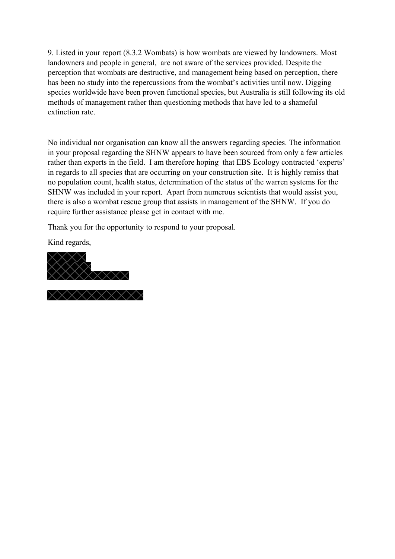9. Listed in your report (8.3.2 Wombats) is how wombats are viewed by landowners. Most landowners and people in general, are not aware of the services provided. Despite the perception that wombats are destructive, and management being based on perception, there has been no study into the repercussions from the wombat's activities until now. Digging species worldwide have been proven functional species, but Australia is still following its old methods of management rather than questioning methods that have led to a shameful extinction rate.

No individual nor organisation can know all the answers regarding species. The information in your proposal regarding the SHNW appears to have been sourced from only a few articles rather than experts in the field. I am therefore hoping that EBS Ecology contracted 'experts' in regards to all species that are occurring on your construction site. It is highly remiss that no population count, health status, determination of the status of the warren systems for the SHNW was included in your report. Apart from numerous scientists that would assist you, there is also a wombat rescue group that assists in management of the SHNW. If you do require further assistance please get in contact with me.

Thank you for the opportunity to respond to your proposal.

Kind regards,